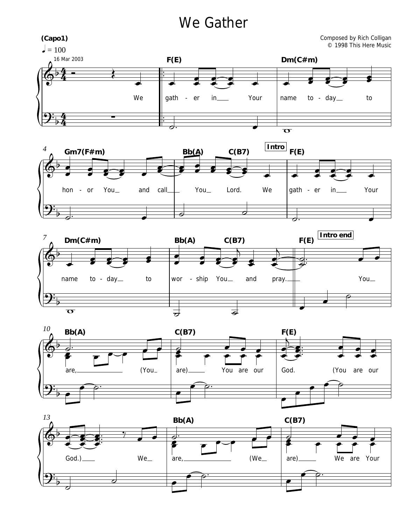## We Gather